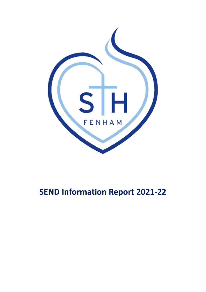

# **SEND Information Report 2021-22**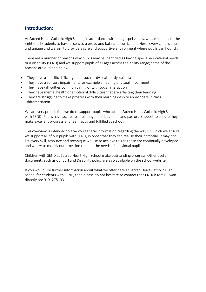#### **Introduction:**

At Sacred Heart Catholic High School, in accordance with the gospel values, we aim to uphold the right of all students to have access to a broad and balanced curriculum. Here, every child is equal and unique and we aim to provide a safe and supportive environment where pupils can flourish.

There are a number of reasons why pupils may be identified as having special educational needs or a disability (SEND) and we support pupils of all ages across the ability range; some of the reasons are outlined below:

- They have a specific difficulty need such as dyslexia or dyscalculia
- They have a sensory impairment, for example a hearing or visual impairment
- They have difficulties communicating or with social interaction
- They have mental health or emotional difficulties that are affecting their learning
- They are struggling to make progress with their learning despite appropriate in class differentiation

We are very proud of all we do to support pupils who attend Sacred Heart Catholic High School with SEND. Pupils have access to a full range of educational and pastoral support to ensure they make excellent progress and feel happy and fulfilled at school.

This overview is intended to give you general information regarding the ways in which we ensure we support all of our pupils with SEND, in order that they can realise their potential. It may not list every skill, resource and technique we use to achieve this as these are continually developed and we try to modify our provision to meet the needs of individual pupils.

Children with SEND at Sacred Heart High School make outstanding progress. Other useful documents such as our SEN and Disability policy are also available on the school website.

If you would like further information about what we offer here at Sacred Heart Catholic High School for students with SEND, then please do not hesitate to contact the SENDCo Mrs N Swan directly on: 01912751931.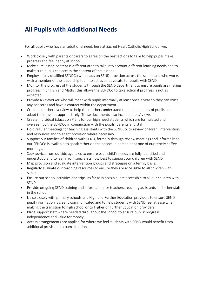## **All Pupils with Additional Needs**

For all pupils who have an additional need, here at Sacred Heart Catholic High School we:

- Work closely with parents or carers to agree on the best actions to take to help pupils make progress and feel happy at school.
- Make sure lesson content is differentiated to take into account different learning needs and to make sure pupils can access the content of the lessons.
- Employ a fully qualified SENDCo who leads on SEND provision across the school and who works with a member of the leadership team to act as an advocate for pupils with SEND.
- Monitor the progress of the students through the SEND department to ensure pupils are making progress in English and Maths; this allows the SENDCo to take action if progress is not as expected.
- Provide a keyworker who will meet with pupils informally at least once a year so they can voice any concerns and have a contact within the department.
- Create a teacher overview to help the teachers understand the unique needs of pupils and adapt their lessons appropriately. These documents also include pupils' views.
- Create Individual Education Plans for our high need students which are formulated and overseen by the SENDCo in conjunction with the pupils, parents and staff.
- Hold regular meetings for teaching assistants with the SENDCo, to review children, interventions and resources and to adapt provision where necessary.
- Support our families of children with SEND, formally through review meetings and informally as our SENDCo is available to speak either on the phone, in person or at one of our termly coffee mornings.
- Seek advice from outside agencies to ensure each child's needs are fully identified and understood and to learn from specialists how best to support our children with SEND.
- Map provision and evaluate intervention groups and strategies on a termly basis.
- Regularly evaluate our teaching resources to ensure they are accessible to all children with SEND.
- Ensure our school activities and trips, as far as is possible, are accessible to all our children with SEND.
- Provide on-going SEND training and information for teachers, teaching assistants and other staff in the school.
- Liaise closely with primary schools and High and Further Education providers to ensure SEND pupil information is clearly communicated and to help students with SEND feel at ease when making the transition to high school or to Higher or Further Education providers.
- Place support staff where needed throughout the school to ensure pupils' progress, independence and value for money.
- Access arrangements are applied for where we feel students with SEND would benefit from additional provision in exam situations.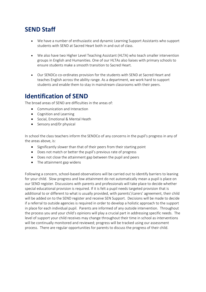#### **SEND Staff**

- We have a number of enthusiastic and dynamic Learning Support Assistants who support students with SEND at Sacred Heart both in and out of class.
- We also have two Higher Level Teaching Assistant (HLTA) who teach smaller intervention groups in English and Humanities. One of our HLTAs also liaises with primary schools to ensure students make a smooth transition to Sacred Heart.
- Our SENDCo co-ordinates provision for the students with SEND at Sacred Heart and teaches English across the ability range. As a department, we work hard to support students and enable them to stay in mainstream classrooms with their peers.

#### **Identification of SEND**

The broad areas of SEND are difficulties in the areas of:

- Communication and Interaction
- Cognition and Learning
- Social, Emotional & Mental Heath
- Sensory and/0r physical

In school the class teachers inform the SENDCo of any concerns in the pupil's progress in any of the areas above, is:

- Significantly slower than that of their peers from their starting point
- Does not match or better the pupil's previous rate of progress
- Does not close the attainment gap between the pupil and peers
- The attainment gap widens

Following a concern, school-based observations will be carried out to identify barriers to leaning for your child. Slow progress and low attainment do not automatically mean a pupil is place on our SEND register. Discussions with parents and professionals will take place to decide whether special educational provision is required. If it is felt a pupil needs targeted provision that is additional to or different to what is usually provided, with parents'/carers' agreement, their child will be added on to the SEND register and receive SEN Support. Decisions will be made to decide if a referral to outside agencies is required in order to develop a holistic approach to the support in place for each individual pupil. Parents are informed of any outside intervention. Throughout the process you and your child's opinions will play a crucial part in addressing specific needs. The level of support your child receives may change throughout their time in school as interventions will be continually monitored and reviewed; progress will be tracked using our assessment process. There are regular opportunities for parents to discuss the progress of their child.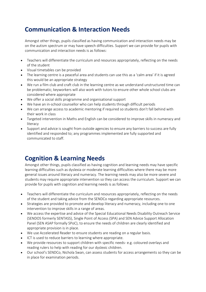### **Communication & Interaction Needs**

Amongst other things, pupils classified as having communication and interaction needs may be on the autism spectrum or may have speech difficulties. Support we can provide for pupils with communication and interaction needs is as follows:

- Teachers will differentiate the curriculum and resources appropriately, reflecting on the needs of the student
- Visual timetables can be provided
- The learning centre is a peaceful area and students can use this as a 'calm area' if it is agreed this would be an appropriate strategy
- We run a film club and craft club in the learning centre as we understand unstructured time can be problematic; keyworkers will also work with tutors to ensure other whole school clubs are considered where appropriate
- We offer a social skills programme and organisational support
- We have an in-school counsellor who can help students through difficult periods
- We can arrange access to academic mentoring if required so students don't fall behind with their work in class
- Targeted intervention in Maths and English can be considered to improve skills in numeracy and literacy
- Support and advice is sought from outside agencies to ensure any barriers to success are fully identified and responded to; any programmes implemented are fully supported and communicated to staff.

#### **Cognition & Learning Needs**

Amongst other things, pupils classified as having cognition and learning needs may have specific learning difficulties such as dyslexia or moderate learning difficulties where there may be more general issues around literacy and numeracy. The learning needs may also be more severe and students may require appropriate intervention so they can access the curriculum. Support we can provide for pupils with cognition and learning needs is as follows:

- Teachers will differentiate the curriculum and resources appropriately, reflecting on the needs of the student and taking advice from the SENDCo regarding appropriate resources.
- Strategies are provided to promote and develop literacy and numeracy, including one to one intervention to improve skills in a range of areas.
- We access the expertise and advice of the Special Educational Needs Disability Outreach Service (SENDOS formerly SENTASS), Single Point of Access (SPA) and SEN Advice Support Allocation Panel (SEN ASAP formally SPoC), to ensure the needs of children are clearly identified and appropriate provision is in place.
- We use Accelerated Reader to ensure students are reading on a regular basis.
- ICT is used to reduce barriers to learning where appropriate.
- We provide resources to support children with specific needs- e.g. coloured overlays and reading rulers to help with reading for our dyslexic children.
- Our school's SENDCo, Nichola Swan, can assess students for access arrangements so they can be in place for examination periods.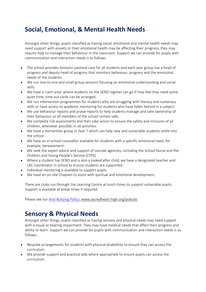## **Social, Emotional, & Mental Health Needs**

Amongst other things, pupils classified as having social, emotional and mental health needs may need support with anxiety or their emotional health may be affecting their progress; they may require help to manage their behaviour in the classroom. Support we can provide for pupils with communication and interaction needs is as follows:

- The school provides fantastic pastoral care for all students and each year group has a head of progress and deputy head of progress that monitors behaviour, progress and the emotional needs of the students.
- We run one-to-one and small group sessions focusing on emotional understanding and social skills.
- We have a 'calm area' where students on the SEND register can go if they feel they need some quiet time; time out cards can be arranged.
- We run intervention programmes for students who are struggling with literacy and numeracy skills or have access to academic mentoring for students who have fallen behind in a subject.
- We use behaviour reports and praise reports to help students manage and take ownership of their behaviour so all members of the school remain safe.
- We complete risk assessments and then take action to ensure the safety and inclusion of all children, whenever possible, in all activities.
- We have a Humanities group in Year 7 which can help new and vulnerable students settle into the school.
- We have an in-school counsellor available for students with a specific emotional need, for example, bereavement.
- We seek the expert advice and support of outside agencies, including the School Nurse and the Children and Young People's Service (CYPS)
- Where a student has SEND and is also a looked after child, we have a designated teacher and LAC coordinator in school to ensure students are supported.
- Individual mentoring is available to support pupils.
- We have an on-site Chaplain to assist with spiritual and emotional development.

There are clubs run through the Learning Centre at lunch times to support vulnerable pupils. Support is available at break times if required.

Please see our [Anti-Bullying](file:///C:/Users/54477.SHHS/AppData/Local/Microsoft/Windows/INetCache/Content.Outlook/23CYS01W/Anti-Bullying%20Policy) Policy: www.sacredheart-high.org/policies

#### **Sensory & Physical Needs**

Amongst other things, pupils classified as having sensory and physical needs may need support with a visual or hearing impairment. They may have medical needs that affect their progress and ability to learn. Support we can provide for pupils with communication and interaction needs is as follows:

- Bespoke arrangements for students with physical disabilities to ensure they can access the curriculum.
- We provide support and practical aids where appropriate to ensure pupils can access the curriculum.